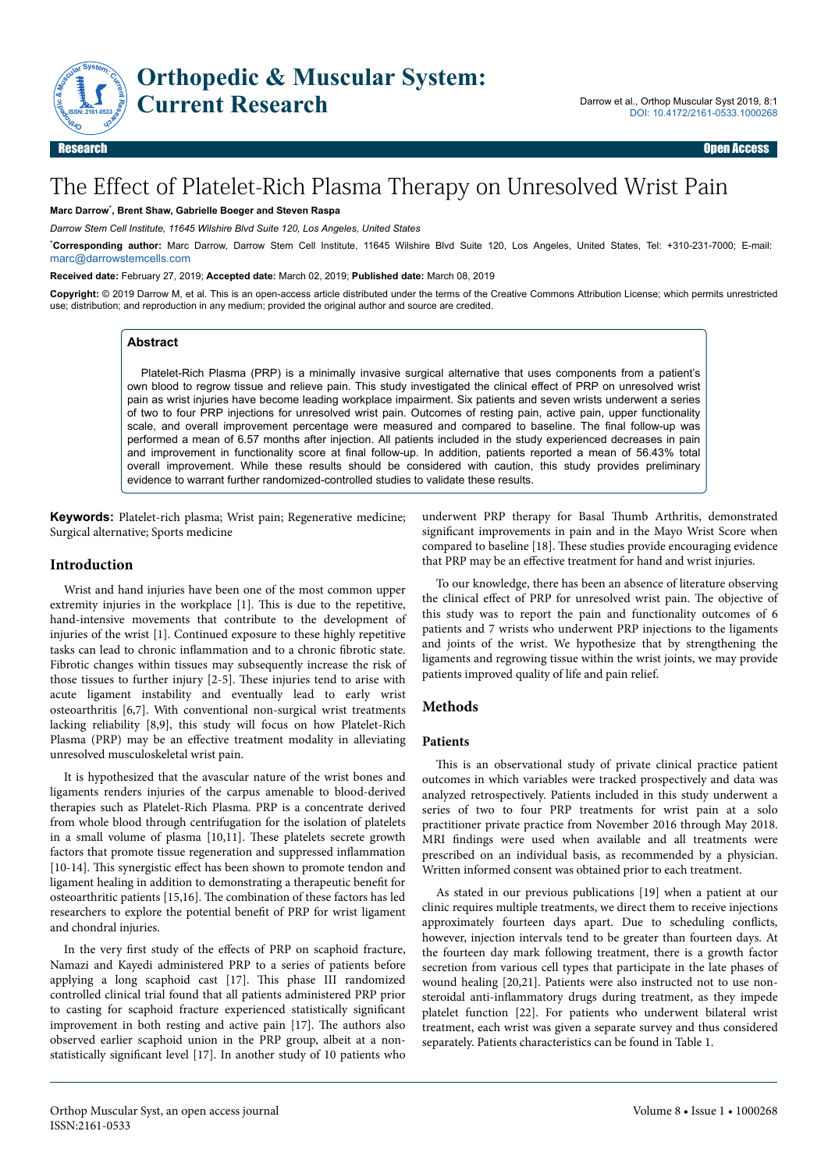

# The Effect of Platelet-Rich Plasma Therapy on Unresolved Wrist Pain

#### **Marc Darrow**\* **, Brent Shaw, Gabrielle Boeger and Steven Raspa**

*Darrow Stem Cell Institute, 11645 Wilshire Blvd Suite 120, Los Angeles, United States*

\***Corresponding author:** Marc Darrow, Darrow Stem Cell Institute, 11645 Wilshire Blvd Suite 120, Los Angeles, United States, Tel: +310-231-7000; E-mail: [marc@darrowstemcells.com](mailto:marc@darrowstemcells.com)

#### **Received date:** February 27, 2019; **Accepted date:** March 02, 2019; **Published date:** March 08, 2019

**Copyright:** © 2019 Darrow M, et al. This is an open-access article distributed under the terms of the Creative Commons Attribution License; which permits unrestricted use; distribution; and reproduction in any medium; provided the original author and source are credited.

## **Abstract**

Platelet-Rich Plasma (PRP) is a minimally invasive surgical alternative that uses components from a patient's own blood to regrow tissue and relieve pain. This study investigated the clinical effect of PRP on unresolved wrist pain as wrist injuries have become leading workplace impairment. Six patients and seven wrists underwent a series of two to four PRP injections for unresolved wrist pain. Outcomes of resting pain, active pain, upper functionality scale, and overall improvement percentage were measured and compared to baseline. The final follow-up was performed a mean of 6.57 months after injection. All patients included in the study experienced decreases in pain and improvement in functionality score at final follow-up. In addition, patients reported a mean of 56.43% total overall improvement. While these results should be considered with caution, this study provides preliminary evidence to warrant further randomized-controlled studies to validate these results.

**Keywords:** Platelet-rich plasma; Wrist pain; Regenerative medicine; Surgical alternative; Sports medicine

#### **Introduction**

Wrist and hand injuries have been one of the most common upper extremity injuries in the workplace [1]. Нis is due to the repetitive, hand-intensive movements that contribute to the development of injuries of the wrist [1]. Continued exposure to these highly repetitive tasks can lead to chronic inflammation and to a chronic fibrotic state. Fibrotic changes within tissues may subsequently increase the risk of those tissues to further injury [2-5]. Нese injuries tend to arise with acute ligament instability and eventually lead to early wrist osteoarthritis [6,7]. With conventional non-surgical wrist treatments lacking reliability [8,9], this study will focus on how Platelet-Rich Plasma (PRP) may be an effective treatment modality in alleviating unresolved musculoskeletal wrist pain.

It is hypothesized that the avascular nature of the wrist bones and ligaments renders injuries of the carpus amenable to blood-derived therapies such as Platelet-Rich Plasma. PRP is a concentrate derived from whole blood through centrifugation for the isolation of platelets in a small volume of plasma [10,11]. Нese platelets secrete growth factors that promote tissue regeneration and suppressed inflammation  $[10-14]$ . This synergistic effect has been shown to promote tendon and ligament healing in addition to demonstrating a therapeutic benefit for osteoarthritic patients [15,16]. Нe combination of these factors has led researchers to explore the potential benefit of PRP for wrist ligament and chondral injuries.

In the very first study of the effects of PRP on scaphoid fracture, Namazi and Kayedi administered PRP to a series of patients before applying a long scaphoid cast [17]. Нis phase III randomized controlled clinical trial found that all patients administered PRP prior to casting for scaphoid fracture experienced statistically significant improvement in both resting and active pain [17]. Нe authors also observed earlier scaphoid union in the PRP group, albeit at a nonstatistically significant level [17]. In another study of 10 patients who underwent PRP therapy for Basal Нumb Arthritis, demonstrated significant improvements in pain and in the Mayo Wrist Score when compared to baseline [18]. Нese studies provide encouraging evidence that PRP may be an effective treatment for hand and wrist injuries.

To our knowledge, there has been an absence of literature observing the clinical effect of PRP for unresolved wrist pain. The objective of this study was to report the pain and functionality outcomes of 6 patients and 7 wrists who underwent PRP injections to the ligaments and joints of the wrist. We hypothesize that by strengthening the ligaments and regrowing tissue within the wrist joints, we may provide patients improved quality of life and pain relief.

## **Methods**

## **Patients**

This is an observational study of private clinical practice patient outcomes in which variables were tracked prospectively and data was analyzed retrospectively. Patients included in this study underwent a series of two to four PRP treatments for wrist pain at a solo practitioner private practice from November 2016 through May 2018. MRI findings were used when available and all treatments were prescribed on an individual basis, as recommended by a physician. Written informed consent was obtained prior to each treatment.

As stated in our previous publications [19] when a patient at our clinic requires multiple treatments, we direct them to receive injections approximately fourteen days apart. Due to scheduling conflicts, however, injection intervals tend to be greater than fourteen days. At the fourteen day mark following treatment, there is a growth factor secretion from various cell types that participate in the late phases of wound healing [20,21]. Patients were also instructed not to use nonsteroidal anti-inflammatory drugs during treatment, as they impede platelet function [22]. For patients who underwent bilateral wrist treatment, each wrist was given a separate survey and thus considered separately. Patients characteristics can be found in Table 1.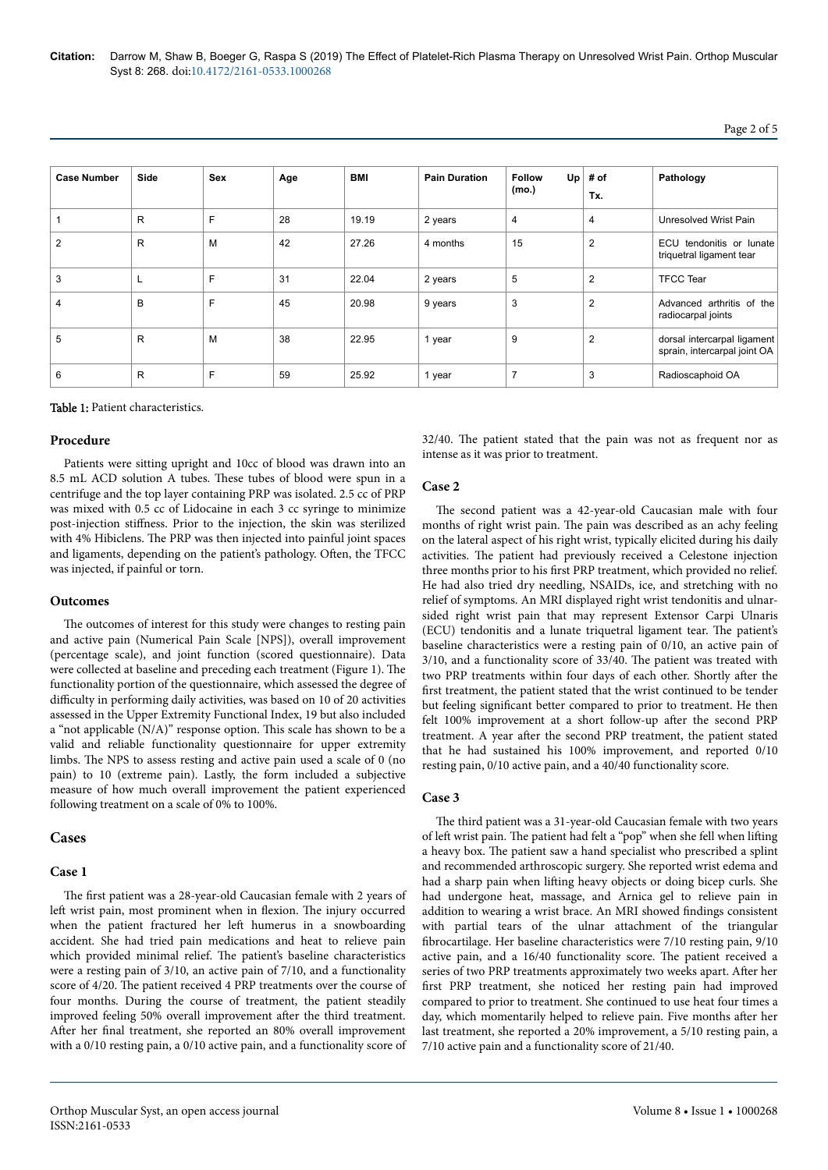**Citation:** Darrow M, Shaw B, Boeger G, Raspa S (2019) The Effect of Platelet-Rich Plasma Therapy on Unresolved Wrist Pain. Orthop Muscular Syst 8: 268. doi:10.4172/2161-0533.1000268

| <b>Case Number</b> | Side         | <b>Sex</b> | Age | BMI   | <b>Pain Duration</b> | Up<br><b>Follow</b><br>(mo.) | # of<br>Tx.    | Pathology                                                   |  |
|--------------------|--------------|------------|-----|-------|----------------------|------------------------------|----------------|-------------------------------------------------------------|--|
|                    | R            | F          | 28  | 19.19 | 2 years              | 4                            | 4              | Unresolved Wrist Pain                                       |  |
| $\overline{2}$     | $\mathsf{R}$ | M          | 42  | 27.26 | 4 months             | 15                           | $\overline{2}$ | ECU tendonitis or lunate<br>triquetral ligament tear        |  |
| 3                  | ┗            | F          | 31  | 22.04 | 2 years              | 5                            | $\overline{2}$ | <b>TFCC Tear</b>                                            |  |
| 4                  | B            | F          | 45  | 20.98 | 9 years              | 3                            | $\overline{2}$ | Advanced arthritis of the<br>radiocarpal joints             |  |
| 5                  | $\mathsf{R}$ | M          | 38  | 22.95 | 1 year               | 9                            | $\overline{2}$ | dorsal intercarpal ligament<br>sprain, intercarpal joint OA |  |
| 6                  | R            | F          | 59  | 25.92 | 1 year               | $\overline{7}$               | 3              | Radioscaphoid OA                                            |  |

#### Table 1: Patient characteristics.

### **Procedure**

Patients were sitting upright and 10cc of blood was drawn into an 8.5 mL ACD solution A tubes. Нese tubes of blood were spun in a centrifuge and the top layer containing PRP was isolated. 2.5 cc of PRP was mixed with 0.5 cc of Lidocaine in each 3 cc syringe to minimize post-injection stiffness. Prior to the injection, the skin was sterilized with 4% Hibiclens. Нe PRP was then injected into painful joint spaces and ligaments, depending on the patient's pathology. Often, the TFCC was injected, if painful or torn.

#### **Outcomes**

The outcomes of interest for this study were changes to resting pain and active pain (Numerical Pain Scale [NPS]), overall improvement (percentage scale), and joint function (scored questionnaire). Data were collected at baseline and preceding each treatment (Figure 1). Нe functionality portion of the questionnaire, which assessed the degree of difficulty in performing daily activities, was based on 10 of 20 activities assessed in the Upper Extremity Functional Index, 19 but also included a "not applicable (N/A)" response option. Нis scale has shown to be a valid and reliable functionality questionnaire for upper extremity limbs. Нe NPS to assess resting and active pain used a scale of 0 (no pain) to 10 (extreme pain). Lastly, the form included a subjective measure of how much overall improvement the patient experienced following treatment on a scale of 0% to 100%.

#### **Cases**

#### **Case 1**

The first patient was a 28-year-old Caucasian female with 2 years of left wrist pain, most prominent when in flexion. The injury occurred when the patient fractured her left humerus in a snowboarding accident. She had tried pain medications and heat to relieve pain which provided minimal relief. Нe patient's baseline characteristics were a resting pain of 3/10, an active pain of 7/10, and a functionality score of 4/20. Нe patient received 4 PRP treatments over the course of four months. During the course of treatment, the patient steadily improved feeling 50% overall improvement after the third treatment. After her final treatment, she reported an 80% overall improvement with a 0/10 resting pain, a 0/10 active pain, and a functionality score of 32/40. Нe patient stated that the pain was not as frequent nor as intense as it was prior to treatment.

#### **Case 2**

The second patient was a 42-year-old Caucasian male with four months of right wrist pain. Нe pain was described as an achy feeling on the lateral aspect of his right wrist, typically elicited during his daily activities. Нe patient had previously received a Celestone injection three months prior to his first PRP treatment, which provided no relief. He had also tried dry needling, NSAIDs, ice, and stretching with no relief of symptoms. An MRI displayed right wrist tendonitis and ulnarsided right wrist pain that may represent Extensor Carpi Ulnaris (ECU) tendonitis and a lunate triquetral ligament tear. Нe patient's baseline characteristics were a resting pain of 0/10, an active pain of 3/10, and a functionality score of 33/40. Нe patient was treated with two PRP treatments within four days of each other. Shortly after the first treatment, the patient stated that the wrist continued to be tender but feeling significant better compared to prior to treatment. He then felt 100% improvement at a short follow-up after the second PRP treatment. A year after the second PRP treatment, the patient stated that he had sustained his 100% improvement, and reported 0/10 resting pain, 0/10 active pain, and a 40/40 functionality score.

#### **Case 3**

The third patient was a 31-year-old Caucasian female with two years of left wrist pain. The patient had felt a "pop" when she fell when lifting a heavy box. Нe patient saw a hand specialist who prescribed a splint and recommended arthroscopic surgery. She reported wrist edema and had a sharp pain when lifting heavy objects or doing bicep curls. She had undergone heat, massage, and Arnica gel to relieve pain in addition to wearing a wrist brace. An MRI showed findings consistent with partial tears of the ulnar attachment of the triangular fibrocartilage. Her baseline characteristics were 7/10 resting pain, 9/10 active pain, and a 16/40 functionality score. Нe patient received a series of two PRP treatments approximately two weeks apart. After her first PRP treatment, she noticed her resting pain had improved compared to prior to treatment. She continued to use heat four times a day, which momentarily helped to relieve pain. Five months after her last treatment, she reported a 20% improvement, a 5/10 resting pain, a 7/10 active pain and a functionality score of 21/40.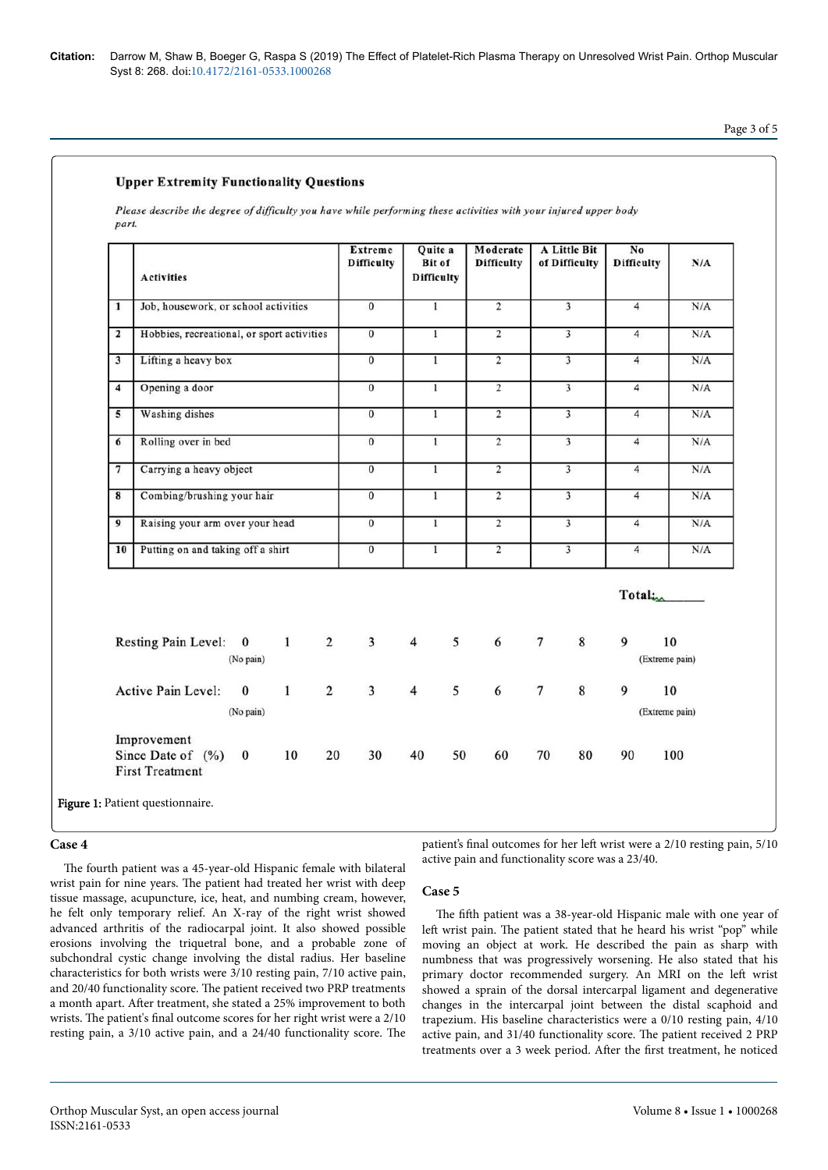**Citation:** Darrow M, Shaw B, Boeger G, Raspa S (2019) The Effect of Platelet-Rich Plasma Therapy on Unresolved Wrist Pain. Orthop Muscular Syst 8: 268. doi:10.4172/2161-0533.1000268

# Page 3 of 5

# **Upper Extremity Functionality Questions**

Please describe the degree of difficulty you have while performing these activities with your injured upper body part.

|                         | <b>Activities</b>                                                | <b>Extreme</b><br><b>Difficulty</b> | Quite a<br><b>Bit of</b><br><b>Difficulty</b> | Moderate<br><b>Difficulty</b> | A Little Bit<br>of Difficulty      | No<br><b>Difficulty</b>                          | N/A |
|-------------------------|------------------------------------------------------------------|-------------------------------------|-----------------------------------------------|-------------------------------|------------------------------------|--------------------------------------------------|-----|
| $\mathbf{1}$            | Job, housework, or school activities                             | $\overline{0}$                      | $\overline{1}$                                | $\overline{2}$                | $\overline{3}$                     | $\overline{4}$                                   | N/A |
| $\overline{\mathbf{z}}$ | Hobbies, recreational, or sport activities                       | $\overline{0}$                      | $\mathbf{1}$                                  | $\overline{2}$                | $\overline{3}$                     | $\overline{4}$                                   | N/A |
| 3                       | Lifting a heavy box                                              | $\overline{0}$                      | $\mathbf{1}$                                  | $\overline{2}$                | $\overline{\mathbf{3}}$            | $\overline{4}$                                   | N/A |
| 4                       | Opening a door                                                   | $\overline{0}$                      | $\mathbf{1}$                                  | $\overline{2}$                | $\overline{3}$                     | $\overline{4}$                                   | N/A |
| 5                       | Washing dishes                                                   | $\overline{0}$                      | $\mathbf{1}$                                  | $\overline{2}$                | $\overline{3}$                     | $\overline{4}$                                   | N/A |
| 6                       | Rolling over in bed                                              | $\overline{0}$                      | $\overline{1}$                                | $\overline{2}$                | $\overline{3}$                     | $\overline{4}$                                   | N/A |
| $\overline{7}$          | Carrying a heavy object                                          | $\overline{0}$                      | $\overline{1}$                                | $\overline{2}$                | $\overline{3}$                     | $\overline{4}$                                   | N/A |
| $\overline{\mathbf{8}}$ | Combing/brushing your hair                                       | $\overline{0}$                      | $\overline{1}$                                | $\overline{2}$                | $\overline{3}$                     | $\overline{4}$                                   | N/A |
| 9                       | Raising your arm over your head                                  | $\overline{0}$                      | $\mathbf{I}$                                  | $\overline{2}$                | $\overline{3}$                     | $\overline{4}$                                   | N/A |
| 10                      | Putting on and taking off a shirt                                | $\overline{0}$                      | $\overline{1}$                                | $\overline{2}$                | $\overline{3}$                     | $\overline{4}$                                   | N/A |
|                         | Resting Pain Level: 0<br>$1 \quad \blacksquare$<br>(No pain)     | $\overline{2}$<br>$\overline{3}$    | $\overline{4}$<br>5                           | 6                             | $\boldsymbol{7}$<br>$8\phantom{1}$ | Total <sub>im</sub><br>9<br>10<br>(Extreme pain) |     |
|                         | $\overline{2}$<br>$\mathbf{1}$<br>Active Pain Level:<br>$\bf{0}$ | $\overline{3}$                      | $\overline{4}$<br>5                           | 6                             | $\overline{7}$<br>$\bf 8$          | 9<br>10<br>(Extreme pain)                        |     |
|                         | (No pain)                                                        |                                     |                                               |                               |                                    |                                                  |     |

## **Case 4**

The fourth patient was a 45-year-old Hispanic female with bilateral wrist pain for nine years. Нe patient had treated her wrist with deep tissue massage, acupuncture, ice, heat, and numbing cream, however, he felt only temporary relief. An X-ray of the right wrist showed advanced arthritis of the radiocarpal joint. It also showed possible erosions involving the triquetral bone, and a probable zone of subchondral cystic change involving the distal radius. Her baseline characteristics for both wrists were 3/10 resting pain, 7/10 active pain, and 20/40 functionality score. Нe patient received two PRP treatments a month apart. After treatment, she stated a 25% improvement to both wrists. Нe patient's final outcome scores for her right wrist were a 2/10 resting pain, a 3/10 active pain, and a 24/40 functionality score. Нe

patient's final outcomes for her left wrist were a 2/10 resting pain, 5/10 active pain and functionality score was a 23/40.

#### **Case 5**

The fifth patient was a 38-year-old Hispanic male with one year of left wrist pain. The patient stated that he heard his wrist "pop" while moving an object at work. He described the pain as sharp with numbness that was progressively worsening. He also stated that his primary doctor recommended surgery. An MRI on the left wrist showed a sprain of the dorsal intercarpal ligament and degenerative changes in the intercarpal joint between the distal scaphoid and trapezium. His baseline characteristics were a 0/10 resting pain, 4/10 active pain, and 31/40 functionality score. Нe patient received 2 PRP treatments over a 3 week period. After the first treatment, he noticed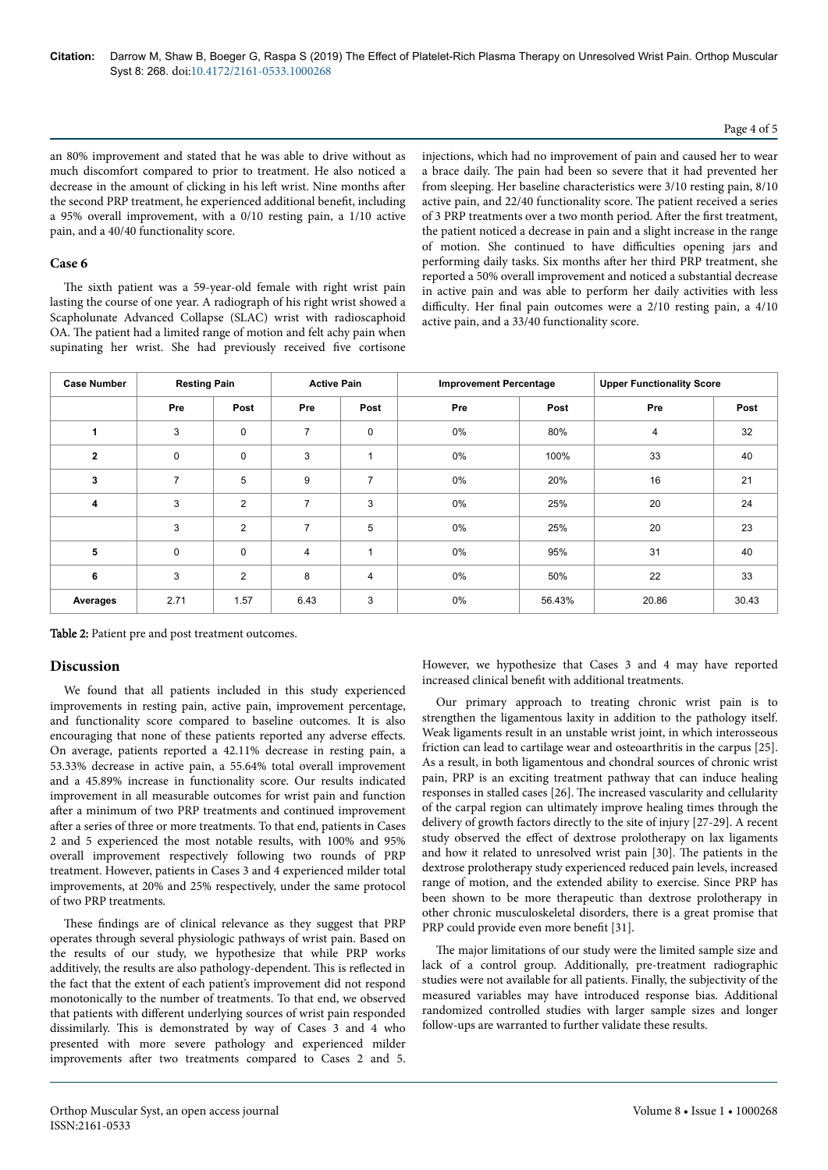## Page 4 of 5

an 80% improvement and stated that he was able to drive without as much discomfort compared to prior to treatment. He also noticed a decrease in the amount of clicking in his left wrist. Nine months after the second PRP treatment, he experienced additional benefit, including a 95% overall improvement, with a 0/10 resting pain, a 1/10 active pain, and a 40/40 functionality score.

# **Case 6**

The sixth patient was a 59-year-old female with right wrist pain lasting the course of one year. A radiograph of his right wrist showed a Scapholunate Advanced Collapse (SLAC) wrist with radioscaphoid OA. Нe patient had a limited range of motion and felt achy pain when supinating her wrist. She had previously received five cortisone

injections, which had no improvement of pain and caused her to wear a brace daily. Нe pain had been so severe that it had prevented her from sleeping. Her baseline characteristics were 3/10 resting pain, 8/10 active pain, and 22/40 functionality score. Нe patient received a series of 3 PRP treatments over a two month period. After the first treatment, the patient noticed a decrease in pain and a slight increase in the range of motion. She continued to have difficulties opening jars and performing daily tasks. Six months after her third PRP treatment, she reported a 50% overall improvement and noticed a substantial decrease in active pain and was able to perform her daily activities with less difficulty. Her final pain outcomes were a 2/10 resting pain, a 4/10 active pain, and a 33/40 functionality score.

| <b>Case Number</b> | <b>Resting Pain</b> |                | <b>Active Pain</b> |                | <b>Improvement Percentage</b> |        | <b>Upper Functionality Score</b> |       |
|--------------------|---------------------|----------------|--------------------|----------------|-------------------------------|--------|----------------------------------|-------|
|                    | Pre                 | Post           | Pre                | Post           | Pre                           | Post   | Pre                              | Post  |
| 1                  | 3                   | $\mathbf 0$    | $\overline{7}$     | $\mathbf 0$    | 0%                            | 80%    | $\overline{4}$                   | 32    |
| $\mathbf{2}$       | $\mathbf 0$         | $\mathbf 0$    | 3                  |                | 0%                            | 100%   | 33                               | 40    |
| 3                  | $\overline{7}$      | 5              | 9                  | $\overline{7}$ | 0%                            | 20%    | 16                               | 21    |
| 4                  | 3                   | $\overline{2}$ | $\overline{7}$     | 3              | 0%                            | 25%    | 20                               | 24    |
|                    | 3                   | $\overline{2}$ | $\overline{7}$     | 5              | 0%                            | 25%    | 20                               | 23    |
| 5                  | $\mathbf 0$         | $\mathbf 0$    | 4                  |                | 0%                            | 95%    | 31                               | 40    |
| 6                  | 3                   | $\overline{2}$ | 8                  | $\overline{4}$ | 0%                            | 50%    | 22                               | 33    |
| Averages           | 2.71                | 1.57           | 6.43               | 3              | 0%                            | 56.43% | 20.86                            | 30.43 |

Table 2: Patient pre and post treatment outcomes.

# **Discussion**

We found that all patients included in this study experienced improvements in resting pain, active pain, improvement percentage, and functionality score compared to baseline outcomes. It is also encouraging that none of these patients reported any adverse effects. On average, patients reported a 42.11% decrease in resting pain, a 53.33% decrease in active pain, a 55.64% total overall improvement and a 45.89% increase in functionality score. Our results indicated improvement in all measurable outcomes for wrist pain and function after a minimum of two PRP treatments and continued improvement after a series of three or more treatments. To that end, patients in Cases 2 and 5 experienced the most notable results, with 100% and 95% overall improvement respectively following two rounds of PRP treatment. However, patients in Cases 3 and 4 experienced milder total improvements, at 20% and 25% respectively, under the same protocol of two PRP treatments.

These findings are of clinical relevance as they suggest that PRP operates through several physiologic pathways of wrist pain. Based on the results of our study, we hypothesize that while PRP works additively, the results are also pathology-dependent. Нis is reflected in the fact that the extent of each patient's improvement did not respond monotonically to the number of treatments. To that end, we observed that patients with different underlying sources of wrist pain responded dissimilarly. Нis is demonstrated by way of Cases 3 and 4 who presented with more severe pathology and experienced milder improvements after two treatments compared to Cases 2 and 5.

However, we hypothesize that Cases 3 and 4 may have reported increased clinical benefit with additional treatments.

Our primary approach to treating chronic wrist pain is to strengthen the ligamentous laxity in addition to the pathology itself. Weak ligaments result in an unstable wrist joint, in which interosseous friction can lead to cartilage wear and osteoarthritis in the carpus [25]. As a result, in both ligamentous and chondral sources of chronic wrist pain, PRP is an exciting treatment pathway that can induce healing responses in stalled cases [26]. Нe increased vascularity and cellularity of the carpal region can ultimately improve healing times through the delivery of growth factors directly to the site of injury [27-29]. A recent study observed the effect of dextrose prolotherapy on lax ligaments and how it related to unresolved wrist pain [30]. Нe patients in the dextrose prolotherapy study experienced reduced pain levels, increased range of motion, and the extended ability to exercise. Since PRP has been shown to be more therapeutic than dextrose prolotherapy in other chronic musculoskeletal disorders, there is a great promise that PRP could provide even more benefit [31].

The major limitations of our study were the limited sample size and lack of a control group. Additionally, pre-treatment radiographic studies were not available for all patients. Finally, the subjectivity of the measured variables may have introduced response bias. Additional randomized controlled studies with larger sample sizes and longer follow-ups are warranted to further validate these results.